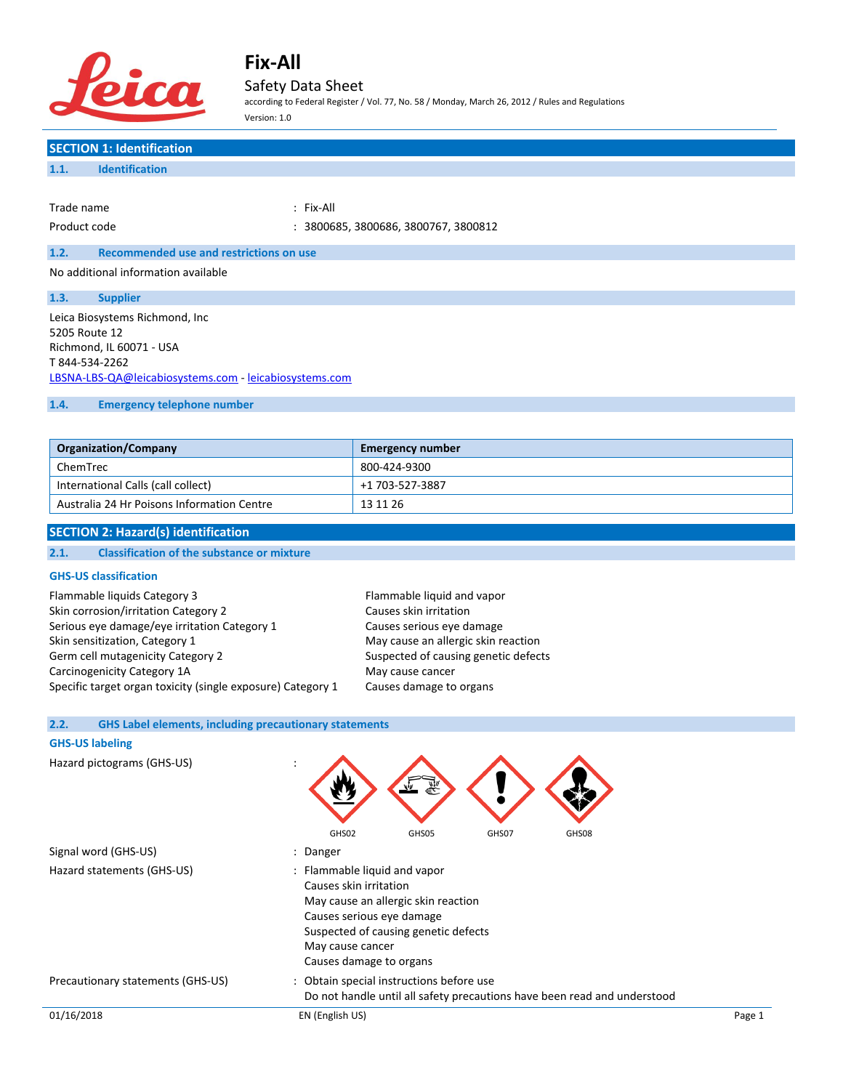

## Safety Data Sheet

according to Federal Register / Vol. 77, No. 58 / Monday, March 26, 2012 / Rules and Regulations Version: 1.0

# **SECTION 1: Identification**

| Trade name   | : Fix-All                            |
|--------------|--------------------------------------|
| Product code | : 3800685, 3800686, 3800767, 3800812 |

### **1.2. Recommended use and restrictions on use**

No additional information available

| 1.3.           | <b>Supplier</b>                                        |
|----------------|--------------------------------------------------------|
|                | Leica Biosystems Richmond, Inc                         |
| 5205 Route 12  |                                                        |
|                | Richmond, IL 60071 - USA                               |
| T 844-534-2262 |                                                        |
|                | LBSNA-LBS-QA@leicabiosystems.com - leicabiosystems.com |
|                |                                                        |

### **1.4. Emergency telephone number**

| <b>Organization/Company</b>                | <b>Emergency number</b> |
|--------------------------------------------|-------------------------|
| ChemTrec                                   | 800-424-9300            |
| International Calls (call collect)         | +1 703-527-3887         |
| Australia 24 Hr Poisons Information Centre | 13 11 26                |

### **SECTION 2: Hazard(s) identification**

### **2.1. Classification of the substance or mixture**

### **GHS-US classification**

| Flammable liquids Category 3                                |
|-------------------------------------------------------------|
| Skin corrosion/irritation Category 2                        |
| Serious eye damage/eye irritation Category 1                |
| Skin sensitization, Category 1                              |
| Germ cell mutagenicity Category 2                           |
| Carcinogenicity Category 1A                                 |
| Specific target organ toxicity (single exposure) Category : |

Flammable liquid and vapor Causes skin irritation Causes serious eye damage May cause an allergic skin reaction Suspected of causing genetic defects May cause cancer 1 Causes damage to organs

### **2.2. GHS Label elements, including precautionary statements**

### **GHS-US labeling**

| Hazard pictograms (GHS-US)        | $\overline{\phantom{a}}$<br>婴                                                                                                                                                                                     |        |  |
|-----------------------------------|-------------------------------------------------------------------------------------------------------------------------------------------------------------------------------------------------------------------|--------|--|
|                                   | GHS02<br>GHS07<br>GHS08<br>GHS05                                                                                                                                                                                  |        |  |
| Signal word (GHS-US)              | : Danger                                                                                                                                                                                                          |        |  |
| Hazard statements (GHS-US)        | : Flammable liquid and vapor<br>Causes skin irritation<br>May cause an allergic skin reaction<br>Causes serious eye damage<br>Suspected of causing genetic defects<br>May cause cancer<br>Causes damage to organs |        |  |
| Precautionary statements (GHS-US) | : Obtain special instructions before use<br>Do not handle until all safety precautions have been read and understood                                                                                              |        |  |
| 01/16/2018                        | EN (English US)                                                                                                                                                                                                   | Page 1 |  |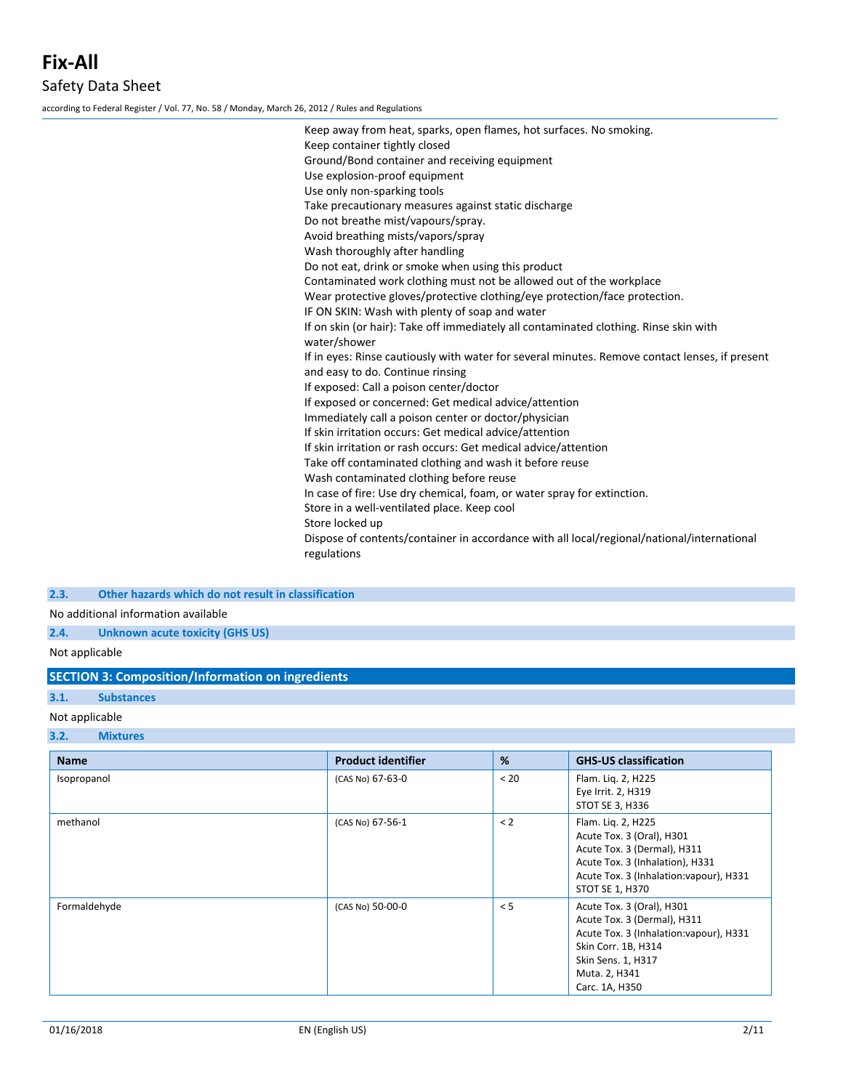according to Federal Register / Vol. 77, No. 58 / Monday, March 26, 2012 / Rules and Regulations

| Keep away from heat, sparks, open flames, hot surfaces. No smoking.<br>Keep container tightly closed      |
|-----------------------------------------------------------------------------------------------------------|
| Ground/Bond container and receiving equipment                                                             |
| Use explosion-proof equipment                                                                             |
| Use only non-sparking tools                                                                               |
| Take precautionary measures against static discharge                                                      |
| Do not breathe mist/vapours/spray.                                                                        |
| Avoid breathing mists/vapors/spray                                                                        |
| Wash thoroughly after handling                                                                            |
| Do not eat, drink or smoke when using this product                                                        |
| Contaminated work clothing must not be allowed out of the workplace                                       |
| Wear protective gloves/protective clothing/eye protection/face protection.                                |
| IF ON SKIN: Wash with plenty of soap and water                                                            |
| If on skin (or hair): Take off immediately all contaminated clothing. Rinse skin with                     |
| water/shower                                                                                              |
| If in eyes: Rinse cautiously with water for several minutes. Remove contact lenses, if present            |
| and easy to do. Continue rinsing                                                                          |
| If exposed: Call a poison center/doctor                                                                   |
| If exposed or concerned: Get medical advice/attention                                                     |
| Immediately call a poison center or doctor/physician                                                      |
| If skin irritation occurs: Get medical advice/attention                                                   |
| If skin irritation or rash occurs: Get medical advice/attention                                           |
| Take off contaminated clothing and wash it before reuse                                                   |
| Wash contaminated clothing before reuse                                                                   |
| In case of fire: Use dry chemical, foam, or water spray for extinction.                                   |
| Store in a well-ventilated place. Keep cool                                                               |
| Store locked up                                                                                           |
| Dispose of contents/container in accordance with all local/regional/national/international<br>regulations |
|                                                                                                           |

### **2.3. Other hazards which do not result in classification**

No additional information available

### **2.4. Unknown acute toxicity (GHS US)**

Not applicable

### **SECTION 3: Composition/Information on ingredients**

## **3.1. Substances**

## Not applicable

### **3.2. Mixtures**

| <b>Name</b>  | <b>Product identifier</b> | %    | <b>GHS-US classification</b>                                                                                                                                                        |
|--------------|---------------------------|------|-------------------------------------------------------------------------------------------------------------------------------------------------------------------------------------|
| Isopropanol  | (CAS No) 67-63-0          | < 20 | Flam. Lig. 2, H225<br>Eye Irrit. 2, H319<br>STOT SE 3, H336                                                                                                                         |
| methanol     | (CAS No) 67-56-1          | < 2  | Flam. Lig. 2, H225<br>Acute Tox. 3 (Oral), H301<br>Acute Tox. 3 (Dermal), H311<br>Acute Tox. 3 (Inhalation), H331<br>Acute Tox. 3 (Inhalation: vapour), H331<br>STOT SE 1, H370     |
| Formaldehyde | (CAS No) 50-00-0          | < 5  | Acute Tox. 3 (Oral), H301<br>Acute Tox. 3 (Dermal), H311<br>Acute Tox. 3 (Inhalation: vapour), H331<br>Skin Corr. 1B, H314<br>Skin Sens. 1, H317<br>Muta. 2, H341<br>Carc. 1A, H350 |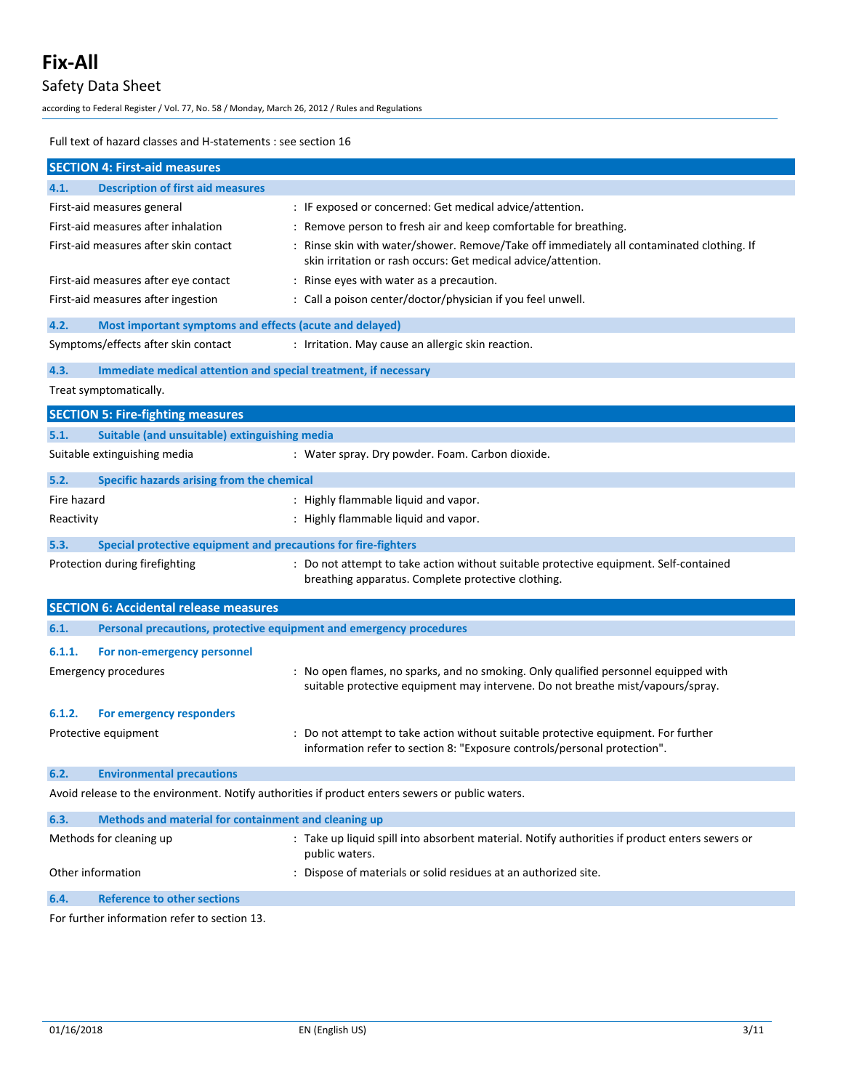# Safety Data Sheet

according to Federal Register / Vol. 77, No. 58 / Monday, March 26, 2012 / Rules and Regulations

Full text of hazard classes and H-statements : see section 16

|                        | <b>SECTION 4: First-aid measures</b>                                |                                                                                                                                                                        |
|------------------------|---------------------------------------------------------------------|------------------------------------------------------------------------------------------------------------------------------------------------------------------------|
| 4.1.                   | <b>Description of first aid measures</b>                            |                                                                                                                                                                        |
|                        | First-aid measures general                                          | : IF exposed or concerned: Get medical advice/attention.                                                                                                               |
|                        | First-aid measures after inhalation                                 | : Remove person to fresh air and keep comfortable for breathing.                                                                                                       |
|                        | First-aid measures after skin contact                               | : Rinse skin with water/shower. Remove/Take off immediately all contaminated clothing. If<br>skin irritation or rash occurs: Get medical advice/attention.             |
|                        | First-aid measures after eye contact                                | : Rinse eyes with water as a precaution.                                                                                                                               |
|                        | First-aid measures after ingestion                                  | : Call a poison center/doctor/physician if you feel unwell.                                                                                                            |
| 4.2.                   | Most important symptoms and effects (acute and delayed)             |                                                                                                                                                                        |
|                        | Symptoms/effects after skin contact                                 | : Irritation. May cause an allergic skin reaction.                                                                                                                     |
| 4.3.                   | Immediate medical attention and special treatment, if necessary     |                                                                                                                                                                        |
|                        | Treat symptomatically.                                              |                                                                                                                                                                        |
|                        | <b>SECTION 5: Fire-fighting measures</b>                            |                                                                                                                                                                        |
| 5.1.                   | Suitable (and unsuitable) extinguishing media                       |                                                                                                                                                                        |
|                        | Suitable extinguishing media                                        | : Water spray. Dry powder. Foam. Carbon dioxide.                                                                                                                       |
| 5.2.                   | Specific hazards arising from the chemical                          |                                                                                                                                                                        |
| Fire hazard            |                                                                     | : Highly flammable liquid and vapor.                                                                                                                                   |
| Reactivity             |                                                                     | : Highly flammable liquid and vapor.                                                                                                                                   |
| 5.3.                   | Special protective equipment and precautions for fire-fighters      |                                                                                                                                                                        |
|                        | Protection during firefighting                                      | : Do not attempt to take action without suitable protective equipment. Self-contained<br>breathing apparatus. Complete protective clothing.                            |
|                        | <b>SECTION 6: Accidental release measures</b>                       |                                                                                                                                                                        |
| 6.1.                   | Personal precautions, protective equipment and emergency procedures |                                                                                                                                                                        |
| 6.1.1.                 | For non-emergency personnel                                         |                                                                                                                                                                        |
|                        | <b>Emergency procedures</b>                                         | : No open flames, no sparks, and no smoking. Only qualified personnel equipped with<br>suitable protective equipment may intervene. Do not breathe mist/vapours/spray. |
| 6.1.2.                 | For emergency responders                                            |                                                                                                                                                                        |
|                        | Protective equipment                                                | : Do not attempt to take action without suitable protective equipment. For further<br>information refer to section 8: "Exposure controls/personal protection".         |
| 6.2.                   | <b>Environmental precautions</b>                                    |                                                                                                                                                                        |
|                        |                                                                     | Avoid release to the environment. Notify authorities if product enters sewers or public waters.                                                                        |
| 6.3.                   | Methods and material for containment and cleaning up                |                                                                                                                                                                        |
|                        | Methods for cleaning up                                             | : Take up liquid spill into absorbent material. Notify authorities if product enters sewers or<br>public waters.                                                       |
|                        | Other information                                                   | : Dispose of materials or solid residues at an authorized site.                                                                                                        |
| 6.4.                   | Reference to other sections                                         |                                                                                                                                                                        |
| $F \sim r$ for $r + h$ | formation refer to costion                                          |                                                                                                                                                                        |

For further information refer to section 13.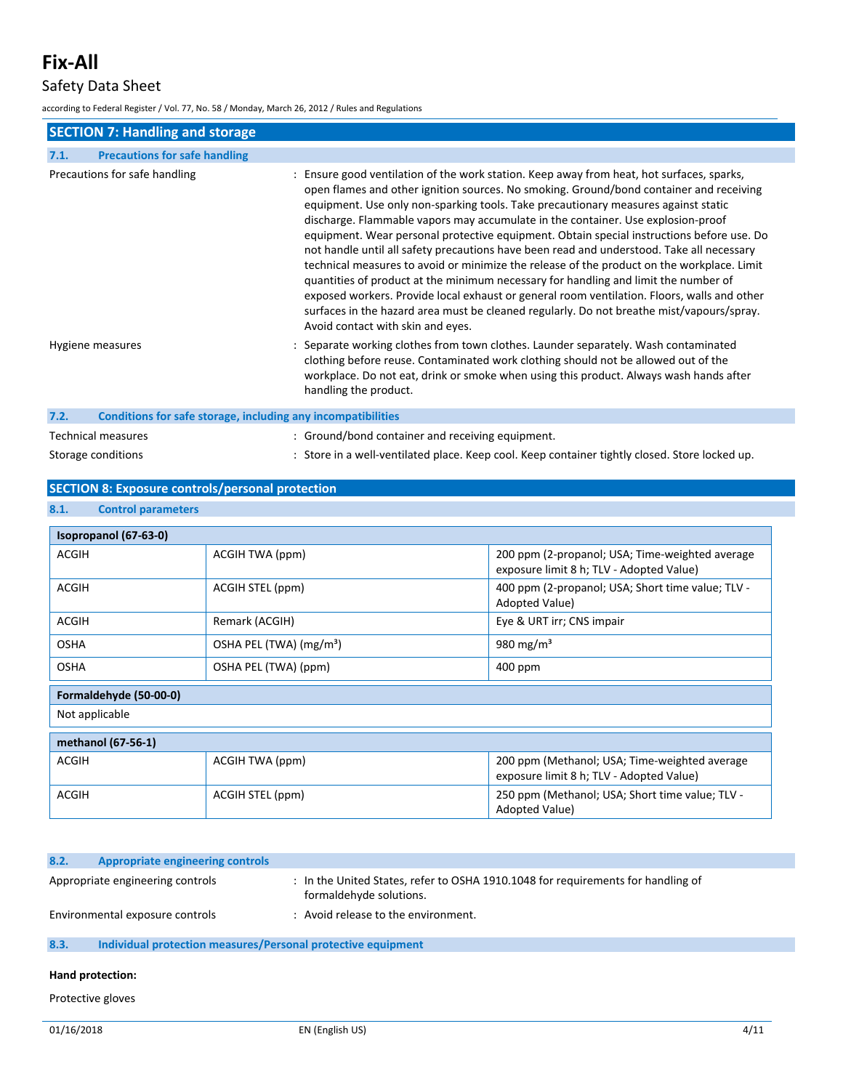## Safety Data Sheet

according to Federal Register / Vol. 77, No. 58 / Monday, March 26, 2012 / Rules and Regulations

| <b>SECTION 7: Handling and storage</b>                               |                                                                                                                                                                                                                                                                                                                                                                                                                                                                                                                                                                                                                                                                                                                                                                                                                                                                                                                                                                                |
|----------------------------------------------------------------------|--------------------------------------------------------------------------------------------------------------------------------------------------------------------------------------------------------------------------------------------------------------------------------------------------------------------------------------------------------------------------------------------------------------------------------------------------------------------------------------------------------------------------------------------------------------------------------------------------------------------------------------------------------------------------------------------------------------------------------------------------------------------------------------------------------------------------------------------------------------------------------------------------------------------------------------------------------------------------------|
| <b>Precautions for safe handling</b><br>7.1.                         |                                                                                                                                                                                                                                                                                                                                                                                                                                                                                                                                                                                                                                                                                                                                                                                                                                                                                                                                                                                |
| Precautions for safe handling                                        | : Ensure good ventilation of the work station. Keep away from heat, hot surfaces, sparks,<br>open flames and other ignition sources. No smoking. Ground/bond container and receiving<br>equipment. Use only non-sparking tools. Take precautionary measures against static<br>discharge. Flammable vapors may accumulate in the container. Use explosion-proof<br>equipment. Wear personal protective equipment. Obtain special instructions before use. Do<br>not handle until all safety precautions have been read and understood. Take all necessary<br>technical measures to avoid or minimize the release of the product on the workplace. Limit<br>quantities of product at the minimum necessary for handling and limit the number of<br>exposed workers. Provide local exhaust or general room ventilation. Floors, walls and other<br>surfaces in the hazard area must be cleaned regularly. Do not breathe mist/vapours/spray.<br>Avoid contact with skin and eyes. |
| Hygiene measures                                                     | : Separate working clothes from town clothes. Launder separately. Wash contaminated<br>clothing before reuse. Contaminated work clothing should not be allowed out of the<br>workplace. Do not eat, drink or smoke when using this product. Always wash hands after<br>handling the product.                                                                                                                                                                                                                                                                                                                                                                                                                                                                                                                                                                                                                                                                                   |
| 7.2.<br>Conditions for safe storage, including any incompatibilities |                                                                                                                                                                                                                                                                                                                                                                                                                                                                                                                                                                                                                                                                                                                                                                                                                                                                                                                                                                                |
| <b>Technical measures</b>                                            | : Ground/bond container and receiving equipment.                                                                                                                                                                                                                                                                                                                                                                                                                                                                                                                                                                                                                                                                                                                                                                                                                                                                                                                               |
| Storage conditions                                                   | : Store in a well-ventilated place. Keep cool. Keep container tightly closed. Store locked up.                                                                                                                                                                                                                                                                                                                                                                                                                                                                                                                                                                                                                                                                                                                                                                                                                                                                                 |

### **SECTION 8: Exposure controls/personal protection**

**8.1. Control parameters Isopropanol (67-63-0)** ACGIH ACGIH TWA (ppm) 200 ppm (2-propanol; USA; Time-weighted average exposure limit 8 h; TLV - Adopted Value) ACGIH ACGIH STEL (ppm) ACGIH STEL (ppm) 400 ppm (2-propanol; USA; Short time value; TLV -Adopted Value) ACGIH Remark (ACGIH) Remark (ACGIH) Eye & URT irr; CNS impair OSHA OSHA PEL (TWA) (mg/m<sup>3</sup>) 980 mg/m<sup>3</sup> OSHA OSHA PEL (TWA) (ppm) 400 ppm **Formaldehyde (50-00-0)** Not applicable **methanol (67-56-1)** ACGIH ACGIH TWA (ppm) 200 ppm (Methanol; USA; Time-weighted average exposure limit 8 h; TLV - Adopted Value) ACGIH ACGIH STEL (ppm) and the state of the state of the SACGIH STEL (ppm) and the state of the state of the state of the state of the state of the state of the state of the state of the state of the state of the state of Adopted Value)

| 8.2.             | <b>Appropriate engineering controls</b>                      |                                                                                                             |
|------------------|--------------------------------------------------------------|-------------------------------------------------------------------------------------------------------------|
|                  | Appropriate engineering controls                             | : In the United States, refer to OSHA 1910.1048 for requirements for handling of<br>formaldehyde solutions. |
|                  | Environmental exposure controls                              | : Avoid release to the environment.                                                                         |
| 8.3.             | Individual protection measures/Personal protective equipment |                                                                                                             |
| Hand protection: |                                                              |                                                                                                             |

Protective gloves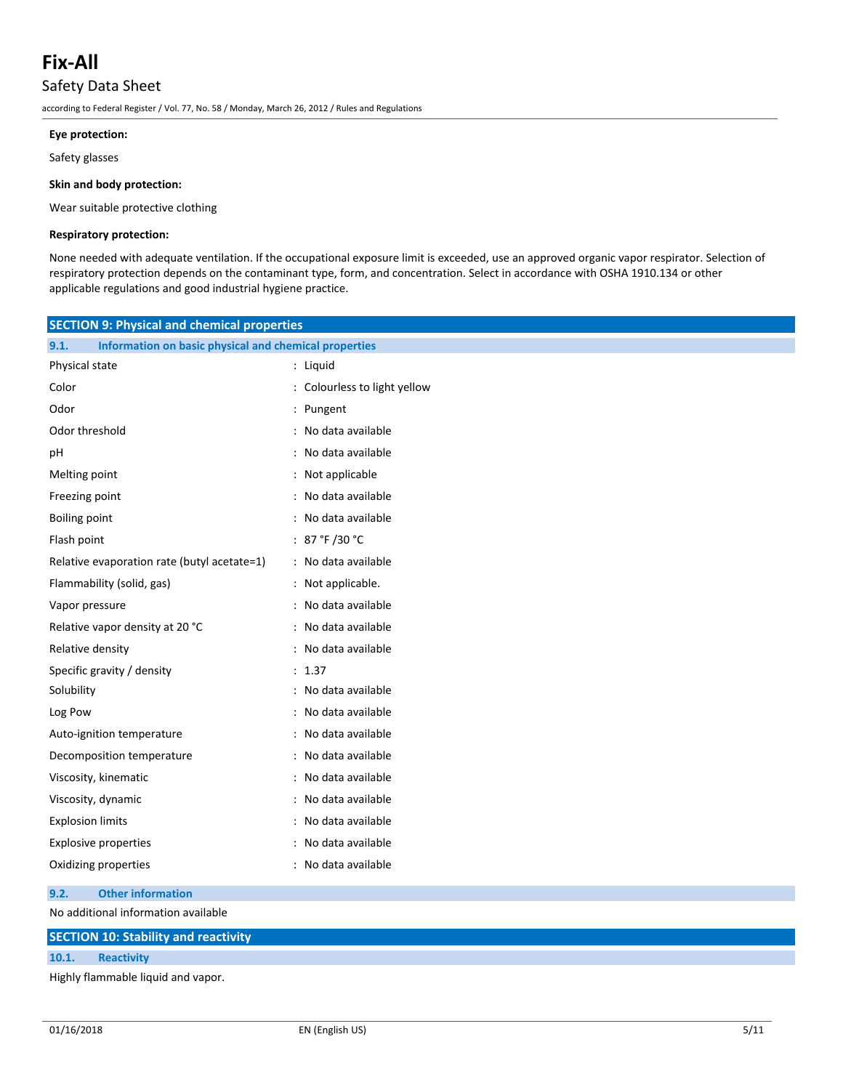## Safety Data Sheet

according to Federal Register / Vol. 77, No. 58 / Monday, March 26, 2012 / Rules and Regulations

#### **Eye protection:**

Safety glasses

#### **Skin and body protection:**

Wear suitable protective clothing

### **Respiratory protection:**

None needed with adequate ventilation. If the occupational exposure limit is exceeded, use an approved organic vapor respirator. Selection of respiratory protection depends on the contaminant type, form, and concentration. Select in accordance with OSHA 1910.134 or other applicable regulations and good industrial hygiene practice.

| <b>SECTION 9: Physical and chemical properties</b>            |                              |  |
|---------------------------------------------------------------|------------------------------|--|
| Information on basic physical and chemical properties<br>9.1. |                              |  |
| Physical state                                                | : Liquid                     |  |
| Color                                                         | : Colourless to light yellow |  |
| Odor                                                          | : Pungent                    |  |
| Odor threshold                                                | : No data available          |  |
| рH                                                            | : No data available          |  |
| Melting point                                                 | : Not applicable             |  |
| Freezing point                                                | : No data available          |  |
| <b>Boiling point</b>                                          | : No data available          |  |
| Flash point                                                   | : 87 °F /30 °C               |  |
| Relative evaporation rate (butyl acetate=1)                   | : No data available          |  |
| Flammability (solid, gas)                                     | : Not applicable.            |  |
| Vapor pressure                                                | : No data available          |  |
| Relative vapor density at 20 °C                               | : No data available          |  |
| Relative density                                              | : No data available          |  |
| Specific gravity / density                                    | : 1.37                       |  |
| Solubility                                                    | : No data available          |  |
| Log Pow                                                       | : No data available          |  |
| Auto-ignition temperature                                     | : No data available          |  |
| Decomposition temperature                                     | : No data available          |  |
| Viscosity, kinematic                                          | : No data available          |  |
| Viscosity, dynamic                                            | : No data available          |  |
| <b>Explosion limits</b>                                       | : No data available          |  |
| <b>Explosive properties</b>                                   | : No data available          |  |
| Oxidizing properties                                          | : No data available          |  |

#### **9.2. Other information**

No additional information available

|       | <b>SECTION 10: Stability and reactivity</b> |  |  |
|-------|---------------------------------------------|--|--|
| 10.1. | <b>Reactivity</b>                           |  |  |
|       | Highly flammable liquid and vapor.          |  |  |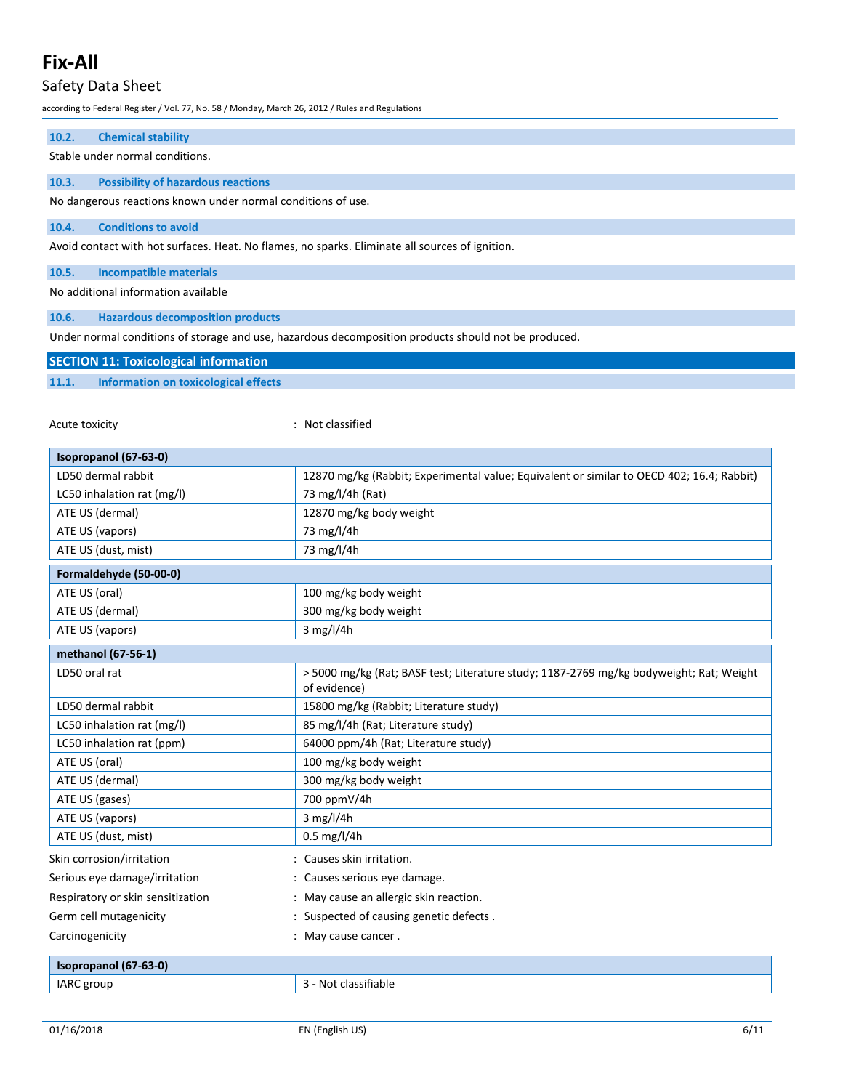# Safety Data Sheet

according to Federal Register / Vol. 77, No. 58 / Monday, March 26, 2012 / Rules and Regulations

| 10.2.<br><b>Chemical stability</b>                           |                                                                                                         |  |  |
|--------------------------------------------------------------|---------------------------------------------------------------------------------------------------------|--|--|
| Stable under normal conditions.                              |                                                                                                         |  |  |
| 10.3.<br><b>Possibility of hazardous reactions</b>           |                                                                                                         |  |  |
| No dangerous reactions known under normal conditions of use. |                                                                                                         |  |  |
| 10.4.<br><b>Conditions to avoid</b>                          |                                                                                                         |  |  |
|                                                              | Avoid contact with hot surfaces. Heat. No flames, no sparks. Eliminate all sources of ignition.         |  |  |
|                                                              |                                                                                                         |  |  |
| 10.5.<br><b>Incompatible materials</b>                       |                                                                                                         |  |  |
| No additional information available                          |                                                                                                         |  |  |
| 10.6.<br><b>Hazardous decomposition products</b>             |                                                                                                         |  |  |
|                                                              | Under normal conditions of storage and use, hazardous decomposition products should not be produced.    |  |  |
| <b>SECTION 11: Toxicological information</b>                 |                                                                                                         |  |  |
| 11.1.<br><b>Information on toxicological effects</b>         |                                                                                                         |  |  |
|                                                              |                                                                                                         |  |  |
| Acute toxicity                                               | : Not classified                                                                                        |  |  |
|                                                              |                                                                                                         |  |  |
| Isopropanol (67-63-0)                                        |                                                                                                         |  |  |
| LD50 dermal rabbit                                           | 12870 mg/kg (Rabbit; Experimental value; Equivalent or similar to OECD 402; 16.4; Rabbit)               |  |  |
| LC50 inhalation rat (mg/l)                                   | 73 mg/l/4h (Rat)                                                                                        |  |  |
| ATE US (dermal)                                              | 12870 mg/kg body weight                                                                                 |  |  |
| ATE US (vapors)<br>73 mg/l/4h                                |                                                                                                         |  |  |
| 73 mg/l/4h<br>ATE US (dust, mist)                            |                                                                                                         |  |  |
| Formaldehyde (50-00-0)                                       |                                                                                                         |  |  |
| ATE US (oral)<br>100 mg/kg body weight                       |                                                                                                         |  |  |
| ATE US (dermal)                                              | 300 mg/kg body weight                                                                                   |  |  |
| ATE US (vapors)                                              | $3$ mg/l/4h                                                                                             |  |  |
| methanol (67-56-1)                                           |                                                                                                         |  |  |
| LD50 oral rat                                                | > 5000 mg/kg (Rat; BASF test; Literature study; 1187-2769 mg/kg bodyweight; Rat; Weight<br>of evidence) |  |  |
| LD50 dermal rabbit                                           | 15800 mg/kg (Rabbit; Literature study)                                                                  |  |  |
| LC50 inhalation rat (mg/l)                                   | 85 mg/l/4h (Rat; Literature study)                                                                      |  |  |
| LC50 inhalation rat (ppm)                                    | 64000 ppm/4h (Rat; Literature study)                                                                    |  |  |
| ATE US (oral)<br>100 mg/kg body weight                       |                                                                                                         |  |  |
| 300 mg/kg body weight<br>ATE US (dermal)                     |                                                                                                         |  |  |
| ATE US (gases)<br>700 ppmV/4h                                |                                                                                                         |  |  |
| ATE US (vapors)                                              | $3$ mg/l/4h                                                                                             |  |  |
| ATE US (dust, mist)                                          | $0.5$ mg/l/4h                                                                                           |  |  |
| Skin corrosion/irritation                                    | : Causes skin irritation.                                                                               |  |  |
| Serious eye damage/irritation                                | Causes serious eye damage.                                                                              |  |  |
| Respiratory or skin sensitization                            | May cause an allergic skin reaction.                                                                    |  |  |
| Germ cell mutagenicity                                       | : Suspected of causing genetic defects.                                                                 |  |  |

| Isopropanol (67-63-0) |                          |
|-----------------------|--------------------------|
| IARC group            | seitiable in the control |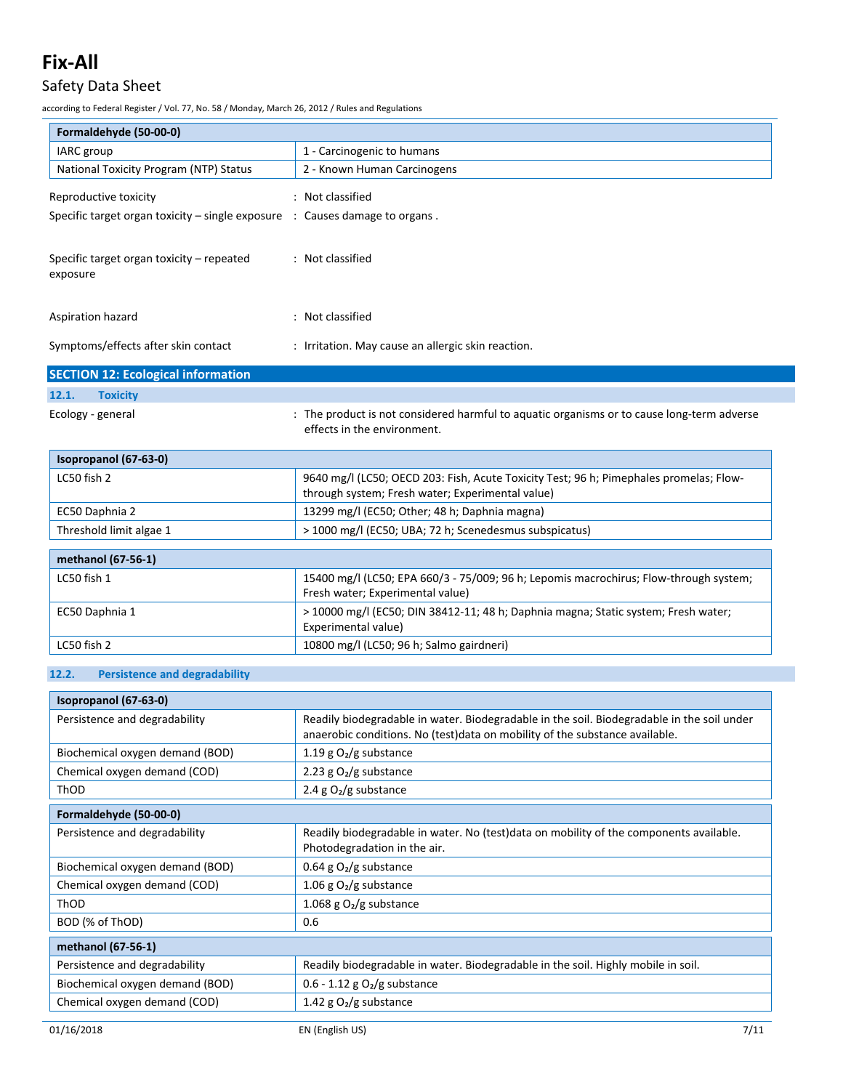# Safety Data Sheet

according to Federal Register / Vol. 77, No. 58 / Monday, March 26, 2012 / Rules and Regulations

| Formaldehyde (50-00-0)                                                                   |                                                                                                                                            |  |  |
|------------------------------------------------------------------------------------------|--------------------------------------------------------------------------------------------------------------------------------------------|--|--|
| IARC group                                                                               | 1 - Carcinogenic to humans                                                                                                                 |  |  |
| National Toxicity Program (NTP) Status                                                   | 2 - Known Human Carcinogens                                                                                                                |  |  |
| Reproductive toxicity                                                                    | : Not classified                                                                                                                           |  |  |
| Specific target organ toxicity $-$ single exposure $\therefore$ Causes damage to organs. |                                                                                                                                            |  |  |
| Specific target organ toxicity - repeated<br>exposure                                    | : Not classified                                                                                                                           |  |  |
| Aspiration hazard                                                                        | : Not classified                                                                                                                           |  |  |
| Symptoms/effects after skin contact                                                      | : Irritation. May cause an allergic skin reaction.                                                                                         |  |  |
| <b>SECTION 12: Ecological information</b>                                                |                                                                                                                                            |  |  |
| 12.1.<br><b>Toxicity</b>                                                                 |                                                                                                                                            |  |  |
| Ecology - general                                                                        | : The product is not considered harmful to aquatic organisms or to cause long-term adverse<br>effects in the environment.                  |  |  |
| Isopropanol (67-63-0)                                                                    |                                                                                                                                            |  |  |
| LC50 fish 2                                                                              | 9640 mg/l (LC50; OECD 203: Fish, Acute Toxicity Test; 96 h; Pimephales promelas; Flow-<br>through system; Fresh water; Experimental value) |  |  |
| EC50 Daphnia 2                                                                           | 13299 mg/l (EC50; Other; 48 h; Daphnia magna)                                                                                              |  |  |
| Threshold limit algae 1                                                                  | > 1000 mg/l (EC50; UBA; 72 h; Scenedesmus subspicatus)                                                                                     |  |  |
| methanol (67-56-1)                                                                       |                                                                                                                                            |  |  |
| LC50 fish 1                                                                              | 15400 mg/l (LC50; EPA 660/3 - 75/009; 96 h; Lepomis macrochirus; Flow-through system;<br>Fresh water; Experimental value)                  |  |  |
| EC50 Daphnia 1                                                                           | > 10000 mg/l (EC50; DIN 38412-11; 48 h; Daphnia magna; Static system; Fresh water;<br>Experimental value)                                  |  |  |
| LC50 fish 2                                                                              | 10800 mg/l (LC50; 96 h; Salmo gairdneri)                                                                                                   |  |  |

## **12.2. Persistence and degradability**

| Isopropanol (67-63-0)                                                                                              |                                                                                                                                                                           |
|--------------------------------------------------------------------------------------------------------------------|---------------------------------------------------------------------------------------------------------------------------------------------------------------------------|
| Persistence and degradability                                                                                      | Readily biodegradable in water. Biodegradable in the soil. Biodegradable in the soil under<br>anaerobic conditions. No (test)data on mobility of the substance available. |
| Biochemical oxygen demand (BOD)                                                                                    | 1.19 g $O2/g$ substance                                                                                                                                                   |
| Chemical oxygen demand (COD)                                                                                       | 2.23 g $O2/g$ substance                                                                                                                                                   |
| ThOD                                                                                                               | 2.4 g $O_2/g$ substance                                                                                                                                                   |
| Formaldehyde (50-00-0)                                                                                             |                                                                                                                                                                           |
| Persistence and degradability                                                                                      | Readily biodegradable in water. No (test)data on mobility of the components available.<br>Photodegradation in the air.                                                    |
| Biochemical oxygen demand (BOD)                                                                                    | 0.64 g $O2/g$ substance                                                                                                                                                   |
| Chemical oxygen demand (COD)                                                                                       | 1.06 g $O_2/g$ substance                                                                                                                                                  |
| 1.068 g $O2/g$ substance<br>ThOD                                                                                   |                                                                                                                                                                           |
| BOD (% of ThOD)                                                                                                    | 0.6                                                                                                                                                                       |
| methanol (67-56-1)                                                                                                 |                                                                                                                                                                           |
| Readily biodegradable in water. Biodegradable in the soil. Highly mobile in soil.<br>Persistence and degradability |                                                                                                                                                                           |
| Biochemical oxygen demand (BOD)<br>$0.6 - 1.12$ g O <sub>2</sub> /g substance                                      |                                                                                                                                                                           |
| Chemical oxygen demand (COD)                                                                                       | 1.42 g $O2/g$ substance                                                                                                                                                   |
| 01/16/2018                                                                                                         | 7/11<br>EN (English US)                                                                                                                                                   |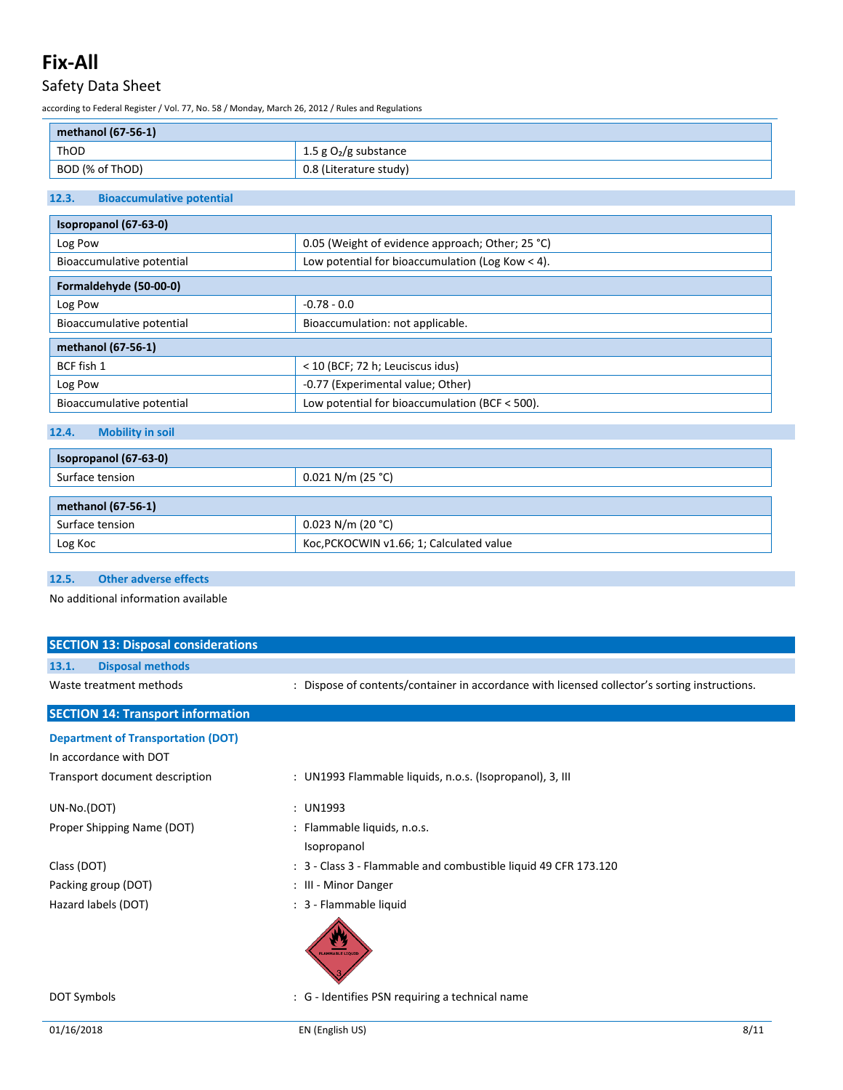# Safety Data Sheet

according to Federal Register / Vol. 77, No. 58 / Monday, March 26, 2012 / Rules and Regulations

| methanol (67-56-1) |                         |  |
|--------------------|-------------------------|--|
| ThOD               | 1.5 g $O_2/g$ substance |  |
| BOD (% of ThOD)    | 0.8 (Literature study)  |  |

## **12.3. Bioaccumulative potential**

| Isopropanol (67-63-0)     |                                                  |  |  |
|---------------------------|--------------------------------------------------|--|--|
| Log Pow                   | 0.05 (Weight of evidence approach; Other; 25 °C) |  |  |
| Bioaccumulative potential | Low potential for bioaccumulation (Log Kow < 4). |  |  |
| Formaldehyde (50-00-0)    |                                                  |  |  |
| Log Pow                   | $-0.78 - 0.0$                                    |  |  |
| Bioaccumulative potential | Bioaccumulation: not applicable.                 |  |  |
| methanol (67-56-1)        |                                                  |  |  |
| BCF fish 1                | < 10 (BCF; 72 h; Leuciscus idus)                 |  |  |
| Log Pow                   | -0.77 (Experimental value; Other)                |  |  |
| Bioaccumulative potential | Low potential for bioaccumulation (BCF $<$ 500). |  |  |

## **12.4. Mobility in soil**

| Isopropanol (67-63-0) |                                          |  |  |
|-----------------------|------------------------------------------|--|--|
| Surface tension       | $0.021$ N/m (25 °C)                      |  |  |
|                       |                                          |  |  |
| methanol (67-56-1)    |                                          |  |  |
| Surface tension       | $0.023$ N/m (20 °C)                      |  |  |
| Log Koc               | Koc, PCKOCWIN v1.66; 1; Calculated value |  |  |

### **12.5. Other adverse effects**

No additional information available

| <b>SECTION 13: Disposal considerations</b>                                                            |                                                                                               |
|-------------------------------------------------------------------------------------------------------|-----------------------------------------------------------------------------------------------|
| <b>Disposal methods</b><br>13.1.                                                                      |                                                                                               |
| Waste treatment methods                                                                               | : Dispose of contents/container in accordance with licensed collector's sorting instructions. |
| <b>SECTION 14: Transport information</b>                                                              |                                                                                               |
| <b>Department of Transportation (DOT)</b><br>In accordance with DOT<br>Transport document description | : UN1993 Flammable liquids, n.o.s. (Isopropanol), 3, III                                      |
| UN-No.(DOT)                                                                                           | : UN1993                                                                                      |
| Proper Shipping Name (DOT)                                                                            | : Flammable liquids, n.o.s.<br>Isopropanol                                                    |
| Class (DOT)                                                                                           | : 3 - Class 3 - Flammable and combustible liquid 49 CFR 173.120                               |
| Packing group (DOT)                                                                                   | : III - Minor Danger                                                                          |
| Hazard labels (DOT)                                                                                   | : 3 - Flammable liquid<br><b>LAMMABLE LIQUII</b>                                              |
| DOT Symbols                                                                                           | : G - Identifies PSN requiring a technical name                                               |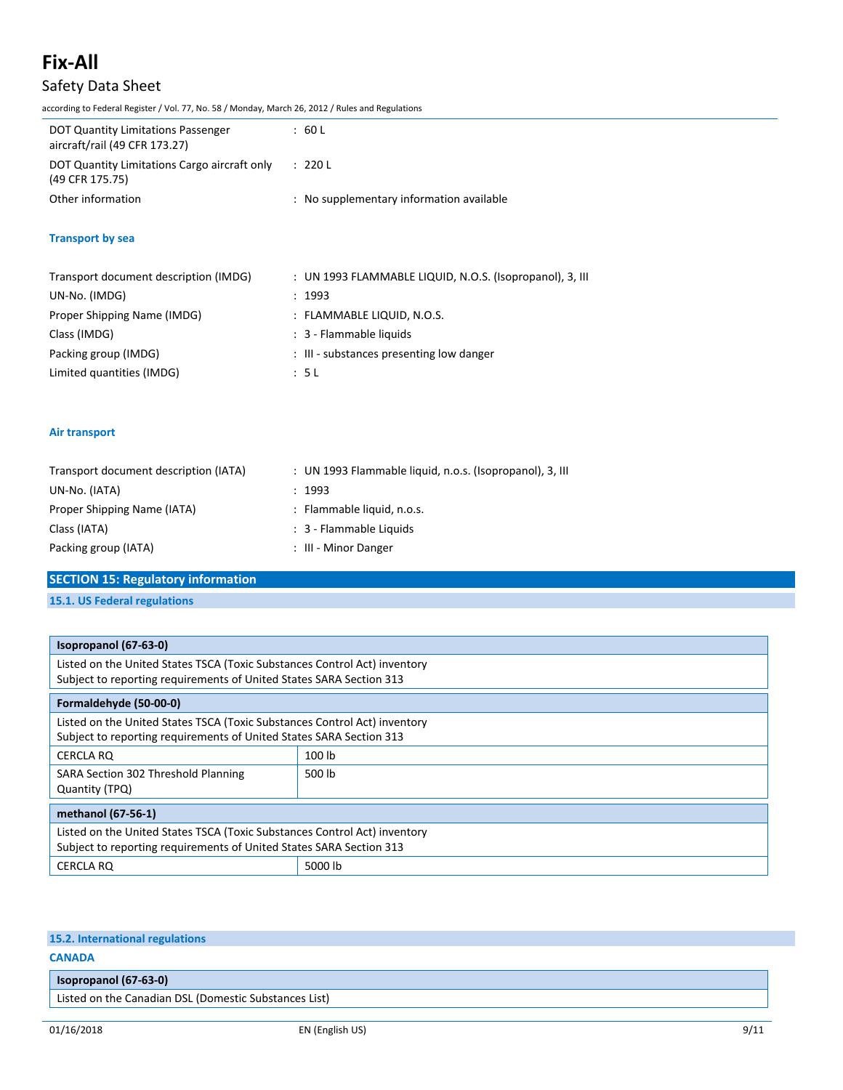# **Fix-All** Safety Data Sheet

according to Federal Register / Vol. 77, No. 58 / Monday, March 26, 2012 / Rules and Regulations

| DOT Quantity Limitations Passenger<br>aircraft/rail (49 CFR 173.27) | :60L                                     |
|---------------------------------------------------------------------|------------------------------------------|
| DOT Quantity Limitations Cargo aircraft only<br>(49 CFR 175.75)     | : 220 L                                  |
| Other information                                                   | : No supplementary information available |

### **Transport by sea**

| Transport document description (IMDG) | : UN 1993 FLAMMABLE LIQUID, N.O.S. (Isopropanol), 3, III |
|---------------------------------------|----------------------------------------------------------|
| UN-No. (IMDG)                         | : 1993                                                   |
| Proper Shipping Name (IMDG)           | : FLAMMABLE LIQUID, N.O.S.                               |
| Class (IMDG)                          | : 3 - Flammable liquids                                  |
| Packing group (IMDG)                  | : III - substances presenting low danger                 |
| Limited quantities (IMDG)             | : 5 L                                                    |

### **Air transport**

| Transport document description (IATA) | : UN 1993 Flammable liquid, n.o.s. (Isopropanol), 3, III |
|---------------------------------------|----------------------------------------------------------|
| UN-No. (IATA)                         | : 1993                                                   |
| Proper Shipping Name (IATA)           | : Flammable liquid, n.o.s.                               |
| Class (IATA)                          | : 3 - Flammable Liquids                                  |
| Packing group (IATA)                  | : III - Minor Danger                                     |

### **SECTION 15: Regulatory information**

**15.1. US Federal regulations**

| Isopropanol (67-63-0)                                                                                                                            |         |  |  |  |
|--------------------------------------------------------------------------------------------------------------------------------------------------|---------|--|--|--|
| Listed on the United States TSCA (Toxic Substances Control Act) inventory                                                                        |         |  |  |  |
| Subject to reporting requirements of United States SARA Section 313                                                                              |         |  |  |  |
| Formaldehyde (50-00-0)                                                                                                                           |         |  |  |  |
| Listed on the United States TSCA (Toxic Substances Control Act) inventory<br>Subject to reporting requirements of United States SARA Section 313 |         |  |  |  |
| CERCLA RO                                                                                                                                        | 100 lb  |  |  |  |
| SARA Section 302 Threshold Planning<br>Quantity (TPQ)                                                                                            | 500 lb  |  |  |  |
| methanol (67-56-1)                                                                                                                               |         |  |  |  |
| Listed on the United States TSCA (Toxic Substances Control Act) inventory                                                                        |         |  |  |  |
| Subject to reporting requirements of United States SARA Section 313                                                                              |         |  |  |  |
| CERCLA RQ                                                                                                                                        | 5000 lb |  |  |  |

### **15.2. International regulations**

### **CANADA**

| Isopropanol (67-63-0)                                 |  |
|-------------------------------------------------------|--|
| Listed on the Canadian DSL (Domestic Substances List) |  |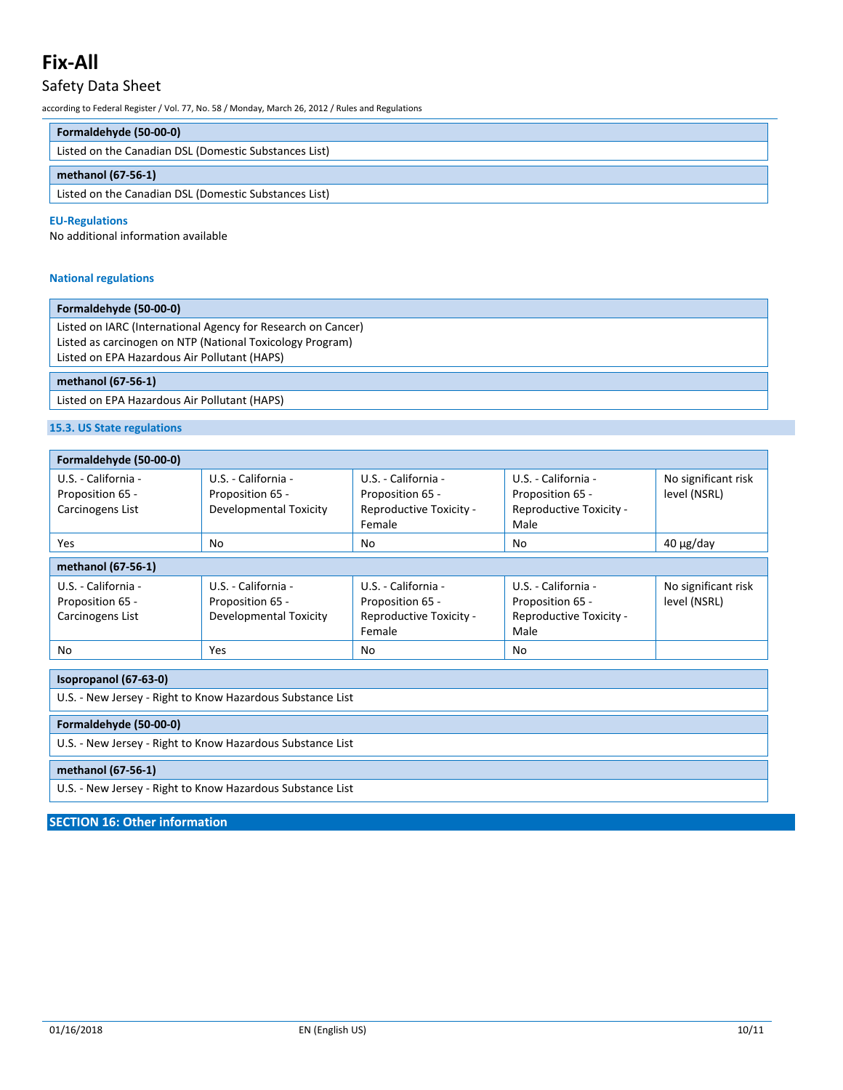## Safety Data Sheet

according to Federal Register / Vol. 77, No. 58 / Monday, March 26, 2012 / Rules and Regulations

| Formaldehyde (50-00-0)                                |  |
|-------------------------------------------------------|--|
| Listed on the Canadian DSL (Domestic Substances List) |  |
| methanol (67-56-1)                                    |  |
| Listed on the Canadian DSL (Domestic Substances List) |  |

#### **EU-Regulations**

No additional information available

### **National regulations**

#### **Formaldehyde (50-00-0)**

Listed on IARC (International Agency for Research on Cancer) Listed as carcinogen on NTP (National Toxicology Program) Listed on EPA Hazardous Air Pollutant (HAPS)

#### **methanol (67-56-1)**

Listed on EPA Hazardous Air Pollutant (HAPS)

### **15.3. US State regulations**

| Formaldehyde (50-00-0)                                      |                                                                   |                                                                              |                                                                            |                                     |  |
|-------------------------------------------------------------|-------------------------------------------------------------------|------------------------------------------------------------------------------|----------------------------------------------------------------------------|-------------------------------------|--|
| U.S. - California -<br>Proposition 65 -<br>Carcinogens List | U.S. - California -<br>Proposition 65 -<br>Developmental Toxicity | U.S. - California -<br>Proposition 65 -<br>Reproductive Toxicity -<br>Female | U.S. - California -<br>Proposition 65 -<br>Reproductive Toxicity -<br>Male | No significant risk<br>level (NSRL) |  |
| <b>Yes</b>                                                  | No.                                                               | No.                                                                          | No                                                                         | $40 \mu g$ /day                     |  |
| methanol (67-56-1)                                          |                                                                   |                                                                              |                                                                            |                                     |  |
| U.S. - California -<br>Proposition 65 -<br>Carcinogens List | U.S. - California -<br>Proposition 65 -<br>Developmental Toxicity | U.S. - California -<br>Proposition 65 -<br>Reproductive Toxicity -<br>Female | U.S. - California -<br>Proposition 65 -<br>Reproductive Toxicity -<br>Male | No significant risk<br>level (NSRL) |  |
| No                                                          | <b>Yes</b>                                                        | No                                                                           | No                                                                         |                                     |  |

| Isopropanol (67-63-0)                                      |  |  |
|------------------------------------------------------------|--|--|
| U.S. - New Jersey - Right to Know Hazardous Substance List |  |  |
| Formaldehyde (50-00-0)                                     |  |  |
| U.S. - New Jersey - Right to Know Hazardous Substance List |  |  |
| methanol (67-56-1)                                         |  |  |
| U.S. - New Jersey - Right to Know Hazardous Substance List |  |  |

**SECTION 16: Other information**